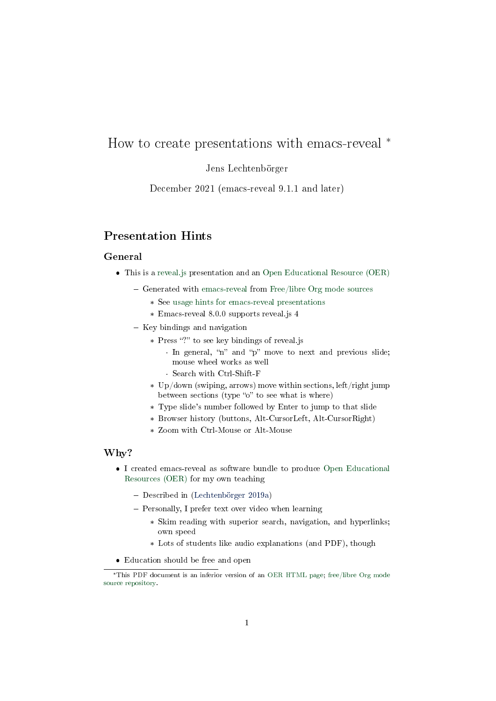# <span id="page-0-0"></span>How to create presentations with emacs-reveal \*

## Jens Lechtenbörger

December 2021 (emacs-reveal 9.1.1 and later)

# Presentation Hints

### General

- This is a [reveal.js](https://revealjs.com) presentation and an [Open Educational Resource \(OER\)](https://en.wikipedia.org/wiki/Open_educational_resources)
	- Generated with [emacs-reveal](https://gitlab.com/oer/emacs-reveal) from [Free/libre Org mode sources](https://gitlab.com/oer/emacs-reveal-howto)
		- \* See [usage hints for emacs-reveal presentations](https://oer.gitlab.io/hints.html)
		- \* Emacs-reveal 8.0.0 supports reveal.js 4
	- $-$  Key bindings and navigation
		- \* Press "?" to see key bindings of reveal.js
			- · In general, "n" and "p" move to next and previous slide; mouse wheel works as well
			- · Search with Ctrl-Shift-F
		- \* Up/down (swiping, arrows) move within sections, left/right jump between sections (type "o" to see what is where)
		- \* Type slide's number followed by Enter to jump to that slide
		- \* Browser history (buttons, Alt-CursorLeft, Alt-CursorRight)
		- \* Zoom with Ctrl-Mouse or Alt-Mouse

## Why?

- I created emacs-reveal as software bundle to produce [Open Educational](https://en.wikipedia.org/wiki/Open_educational_resources) [Resources \(OER\)](https://en.wikipedia.org/wiki/Open_educational_resources) for my own teaching
	- Described in [\(Lechtenbörger 2019a\)](#page-15-0)
	- Personally, I prefer text over video when learning
		- \* Skim reading with superior search, navigation, and hyperlinks; own speed
		- \* Lots of students like audio explanations (and PDF), though
- Education should be free and open

<sup>\*</sup>This PDF document is an inferior version of an [OER HTML page;](https://oer.gitlab.io/emacs-reveal-howto/howto.html) [free/libre Org mode](https://gitlab.com/oer/emacs-reveal-howto) [source repository.](https://gitlab.com/oer/emacs-reveal-howto)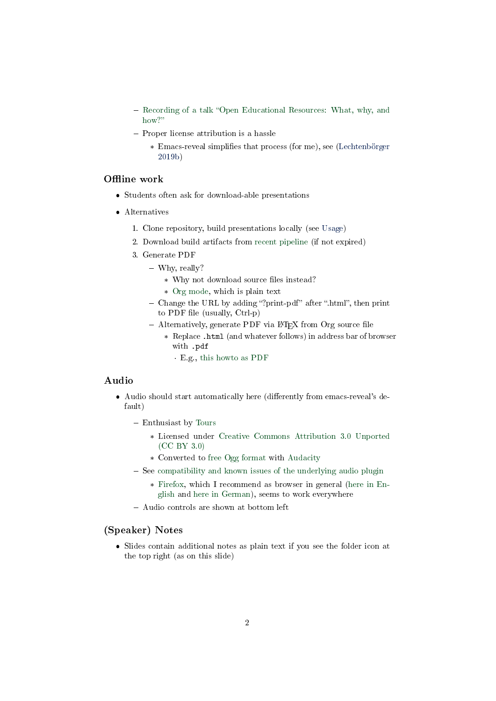- Recording of a talk "Open Educational Resources: What, why, and [how?](https://electures.uni-muenster.de/engage/theodul/ui/core.html?id=bfd84252-634d-40d0-996a-3979a21abe3e)"
- Proper license attribution is a hassle
	- \* Emacs-reveal simplifies that process (for me), see [\(Lechtenbörger](#page-15-1) [2019b\)](#page-15-1)

## Offline work

- Students often ask for download-able presentations
- Alternatives
	- 1. Clone repository, build presentations locally (see [Usage\)](#page-5-0)
	- 2. Download build artifacts from [recent pipeline](https://gitlab.com/oer/emacs-reveal-howto/-/pipelines) (if not expired)
	- 3. Generate PDF
		- Why, really?
			- \* Why not download source files instead?
			- \* [Org mode,](https://orgmode.org/) which is plain text
		- $\sim$  Change the URL by adding "?print-pdf" after ".html", then print to PDF file (usually, Ctrl-p)
		- $-$  Alternatively, generate PDF via L<sup>4</sup>T<sub>F</sub>X from Org source file
			- \* Replace .html (and whatever follows) in address bar of browser with .pdf
				- · E.g., [this howto as PDF](https://oer.gitlab.io/emacs-reveal-howto/howto.pdf)

## Audio

- $\bullet$  Audio should start automatically here (differently from emacs-reveal's default)
	- Enthusiast by [Tours](https://freemusicarchive.org/music/Tours/)
		- \* Licensed under [Creative Commons Attribution 3.0 Unported](https://creativecommons.org/licenses/by/3.0/) [\(CC BY 3.0\)](https://creativecommons.org/licenses/by/3.0/)
		- \* Converted to [free Ogg format](https://en.wikipedia.org/wiki/Ogg) with [Audacity](https://www.audacityteam.org/)
	- See [compatibility and known issues of the underlying audio plugin](https://github.com/rajgoel/reveal.js-plugins/tree/master/audio-slideshow#user-content-compatibility-and-known-issues)
		- \* [Firefox,](https://www.mozilla.org/en-US/firefox/) which I recommend as browser in general [\(here in En](https://blogs.fsfe.org/jens.lechtenboerger/2015/06/09/three-steps-towards-more-privacy-on-the-net/)[glish](https://blogs.fsfe.org/jens.lechtenboerger/2015/06/09/three-steps-towards-more-privacy-on-the-net/) and [here in German\)](https://www.informationelle-selbstbestimmung-im-internet.de/), seems to work everywhere
	- Audio controls are shown at bottom left

#### (Speaker) Notes

 Slides contain additional notes as plain text if you see the folder icon at the top right (as on this slide)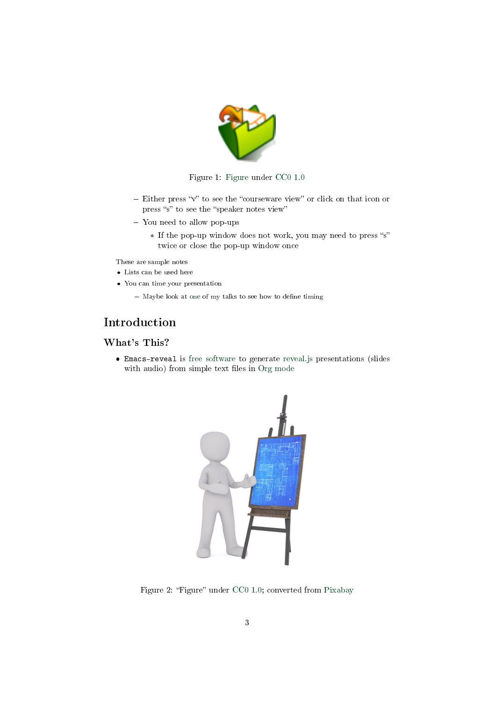

#### Figure 1: [Figure](https://packages.debian.org/stretch/openclipart-svg) under [CC0 1.0](https://creativecommons.org/publicdomain/zero/1.0/)

- $-$  Either press "v" to see the "courseware view" or click on that icon or press "s" to see the "speaker notes view"
- You need to allow pop-ups
	- \* If the pop-up window does not work, you may need to press "s" twice or close the pop-up window once

These are sample notes

- Lists can be used here
- You can time your presentation
	- $-$  Maybe look at [one](https://gitlab.com/lechten/talks-2018/blob/master/2018-04-24-Blockchain.org) of my talks to see how to define timing

# Introduction

# What's This?

 Emacs-reveal is [free software](https://fsfe.org/freesoftware/) to generate [reveal.js](https://revealjs.com/) presentations (slides with audio) from simple text files in [Org mode](https://orgmode.org/)



Figure 2: "Figure" under [CC0 1.0;](https://creativecommons.org/publicdomain/zero/1.0/) converted from [Pixabay](https://pixabay.com/en/board-easel-architect-engineer-2714172/)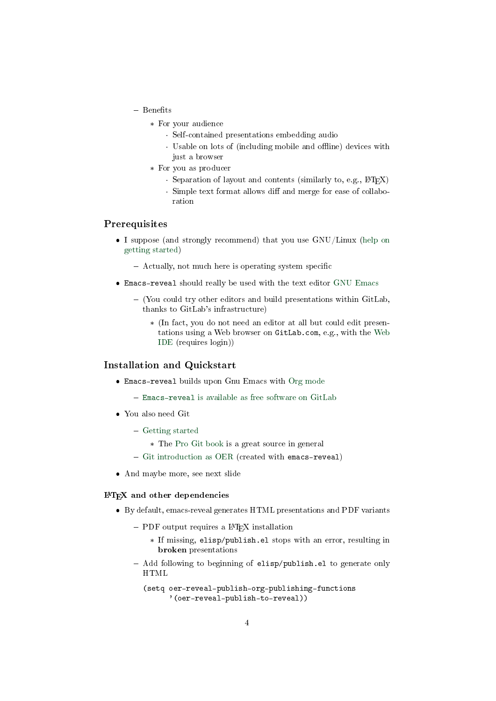- $-$  Benefits
	- \* For your audience
		- · Self-contained presentations embedding audio
		- Usable on lots of (including mobile and offline) devices with just a browser
	- \* For you as producer
		- $\cdot$  Separation of layout and contents (similarly to, e.g.,  $\angle$ ATEX)
		- · Simple text format allows diff and merge for ease of collaboration

## Prerequisites

- I suppose (and strongly recommend) that you use GNU/Linux [\(help on](https://getgnulinux.org/switch_to_linux/try_or_install/) [getting started\)](https://getgnulinux.org/switch_to_linux/try_or_install/)
	- $-$  Actually, not much here is operating system specific
- Emacs-reveal should really be used with the text editor [GNU Emacs](https://www.gnu.org/software/emacs/)
	- $-$  (You could try other editors and build presentations within GitLab, thanks to GitLab's infrastructure)
		- \* (In fact, you do not need an editor at all but could edit presentations using a Web browser on GitLab.com, e.g., with the [Web](https://gitlab.com/-/ide/project/oer/emacs-reveal-howto/edit/master/) [IDE](https://gitlab.com/-/ide/project/oer/emacs-reveal-howto/edit/master/) (requires login))

## Installation and Quickstart

- Emacs-reveal builds upon Gnu Emacs with [Org mode](https://orgmode.org)
	- Emacs-reveal [is available as free software on GitLab](https://gitlab.com/oer/emacs-reveal)
- You also need Git
	- [Getting started](https://git-scm.com/book/en/v2/Getting-Started-Installing-Git)
		- \* The [Pro Git book](https://git-scm.com/book/en/v2) is a great source in general
	- $-$  [Git introduction as OER](https://oer.gitlab.io/oer-courses/cacs/Git-Introduction.html) (created with emacs-reveal)
- And maybe more, see next slide

#### L<sup>A</sup>TEX and other dependencies

- By default, emacs-reveal generates HTML presentations and PDF variants
	- $-$  PDF output requires a  $BTRX$  installation
		- \* If missing, elisp/publish.el stops with an error, resulting in broken presentations
	- Add following to beginning of elisp/publish.el to generate only HTML

```
(setq oer-reveal-publish-org-publishing-functions
      '(oer-reveal-publish-to-reveal))
```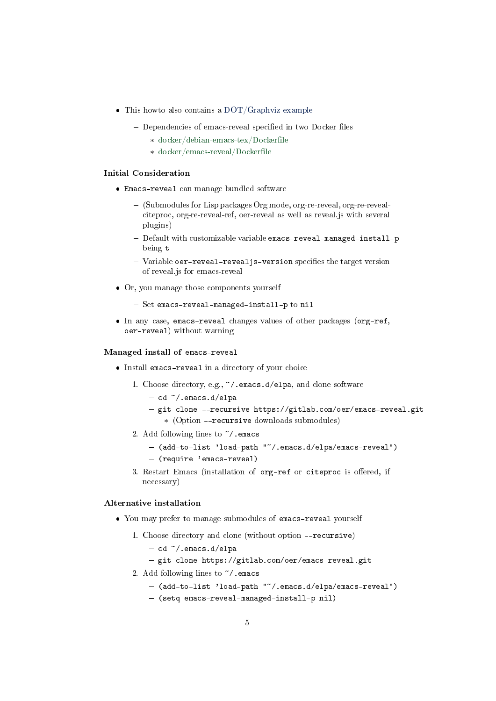- This howto also contains a [DOT/Graphviz example](#page-13-0)
	- $-$  Dependencies of emacs-reveal specified in two Docker files
		- \* docker/debian-emacs-tex/Dockerfile
		- \* docker/emacs-reveal/Dockerfile

#### Initial Consideration

- Emacs-reveal can manage bundled software
	- (Submodules for Lisp packages Org mode, org-re-reveal, org-re-revealciteproc, org-re-reveal-ref, oer-reveal as well as reveal.js with several plugins)
	- Default with customizable variable emacs-reveal-managed-install-p being t
	- $-$  Variable oer-reveal-reveal is-version specifies the target version of reveal.js for emacs-reveal
- Or, you manage those components yourself
	- $-$  Set emacs-reveal-managed-install-p to nil
- In any case, emacs-reveal changes values of other packages (org-ref, oer-reveal) without warning

#### <span id="page-4-0"></span>Managed install of emacs-reveal

- Install emacs-reveal in a directory of your choice
	- 1. Choose directory, e.g., ~/.emacs.d/elpa, and clone software
		- $-cd \sim /$ .emacs.d/elpa
		- git clone --recursive https://gitlab.com/oer/emacs-reveal.git \* (Option --recursive downloads submodules)
	- 2. Add following lines to ~/.emacs
		- (add-to-list 'load-path "~/.emacs.d/elpa/emacs-reveal")
		- (require 'emacs-reveal)
	- 3. Restart Emacs (installation of org-ref or citeproc is offered, if necessary)

#### Alternative installation

- You may prefer to manage submodules of emacs-reveal yourself
	- 1. Choose directory and clone (without option --recursive)
		- $-$  cd  $\tilde{\phantom{a}}$ .emacs.d/elpa
		- git clone https://gitlab.com/oer/emacs-reveal.git
	- 2. Add following lines to ~/.emacs
		- (add-to-list 'load-path "~/.emacs.d/elpa/emacs-reveal")
		- (setq emacs-reveal-managed-install-p nil)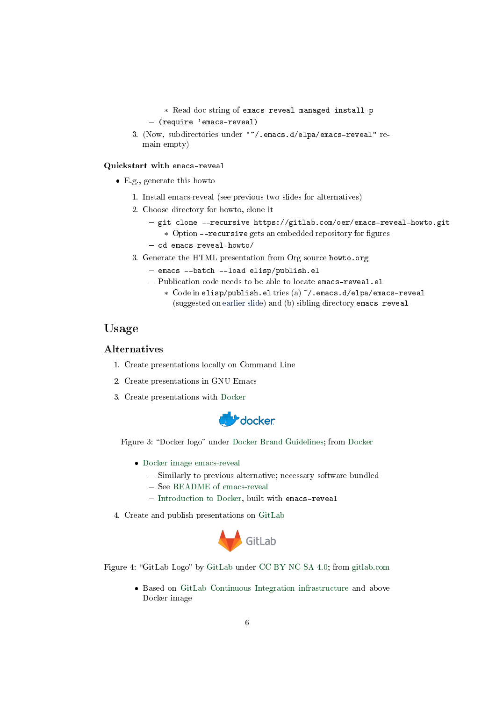```
* Read doc string of emacs-reveal-managed-install-p
 (require 'emacs-reveal)
```
3. (Now, subdirectories under "~/.emacs.d/elpa/emacs-reveal" remain empty)

#### <span id="page-5-1"></span>Quickstart with emacs-reveal

- E.g., generate this howto
	- 1. Install emacs-reveal (see previous two slides for alternatives)
	- 2. Choose directory for howto, clone it
		- git clone --recursive https://gitlab.com/oer/emacs-reveal-howto.git \* Option --recursive gets an embedded repository for figures
		- $-$  cd emacs-reveal-howto/
	- 3. Generate the HTML presentation from Org source howto.org
		- emacs --batch --load elisp/publish.el
		- Publication code needs to be able to locate emacs-reveal.el
			- \* Code in elisp/publish.el tries (a) ~/.emacs.d/elpa/emacs-reveal (suggested on [earlier slide\)](#page-4-0) and (b) sibling directory emacs-reveal

# <span id="page-5-0"></span>Usage

#### Alternatives

- 1. Create presentations locally on Command Line
- 2. Create presentations in GNU Emacs
- 3. Create presentations with [Docker](https://www.docker.com/)



Figure 3: "Docker logo" under [Docker Brand Guidelines;](https://www.docker.com/brand-guidelines) from [Docker](https://www.docker.com/sites/default/files/legal/docker_logos_2018.zip)

- [Docker image emacs-reveal](https://gitlab.com/oer/emacs-reveal/container_registry)
	- Similarly to previous alternative; necessary software bundled
	- See [README of emacs-reveal](https://gitlab.com/oer/emacs-reveal/blob/master/README.md)
	- [Introduction to Docker,](https://oer.gitlab.io/oer-courses/vm-neuland/Docker.html) built with emacs-reveal
- 4. Create and publish presentations on [GitLab](https://about.gitlab.com/)



Figure 4: "[GitLab](https://gitlab.com/gitlab-com/gitlab-artwork/blob/master/README.md) Logo" by GitLab under [CC BY-NC-SA 4.0;](https://creativecommons.org/licenses/by-nc-sa/4.0/) from [gitlab.com](https://gitlab.com/gitlab-com/gitlab-artwork/raw/master/wordmark/wm_no_bg.png)

 Based on [GitLab Continuous Integration infrastructure](https://docs.gitlab.com/ce/ci/) and above Docker image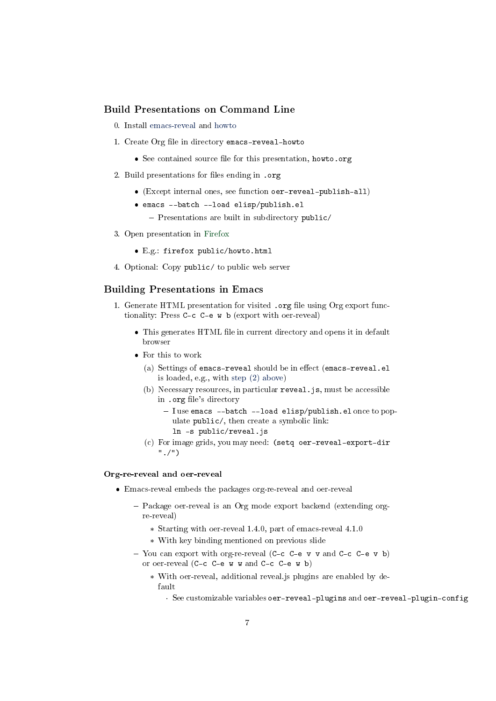### Build Presentations on Command Line

- 0. Install [emacs-reveal](#page-4-0) and [howto](#page-5-1)
- 1. Create Org file in directory emacs-reveal-howto
	- See contained source file for this presentation, howto.org
- 2. Build presentations for les ending in .org
	- (Except internal ones, see function oer-reveal-publish-all)
	- emacs --batch --load elisp/publish.el
		- $P$ resentations are built in subdirectory public/
- 3. Open presentation in [Firefox](https://www.mozilla.org/en-US/firefox/)
	- E.g.: firefox public/howto.html
- 4. Optional: Copy public/ to public web server

### Building Presentations in Emacs

- 1. Generate HTML presentation for visited .org file using Org export functionality: Press C-c C-e w b (export with oer-reveal)
	- $\bullet$  This generates HTML file in current directory and opens it in default browser
	- For this to work
		- (a) Settings of emacs-reveal should be in effect (emacs-reveal.el is loaded, e.g., with [step \(2\) above\)](#page-4-0)
		- (b) Necessary resources, in particular reveal.js, must be accessible in .org file's directory
			- $-I$  use emacs --batch --load elisp/publish.elonce to populate public/, then create a symbolic link: ln -s public/reveal.js
		- (c) For image grids, you may need: (setq oer-reveal-export-dir "./")

#### Org-re-reveal and oer-reveal

- Emacs-reveal embeds the packages org-re-reveal and oer-reveal
	- Package oer-reveal is an Org mode export backend (extending orgre-reveal)
		- \* Starting with oer-reveal 1.4.0, part of emacs-reveal 4.1.0
		- \* With key binding mentioned on previous slide
	- You can export with org-re-reveal (C-c C-e v v and C-c C-e v b) or oer-reveal (C-c C-e w w and C-c C-e w b)
		- \* With oer-reveal, additional reveal.js plugins are enabled by default
			- · See customizable variables oer-reveal-plugins and oer-reveal-plugin-config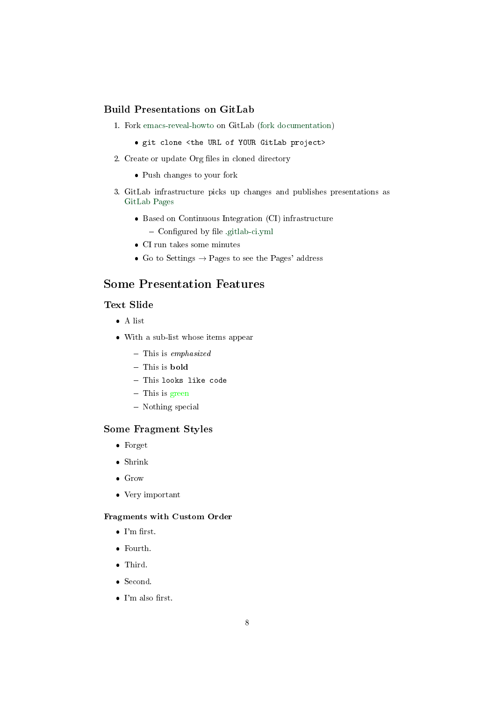## Build Presentations on GitLab

- 1. Fork [emacs-reveal-howto](https://gitlab.com/oer/emacs-reveal-howto) on GitLab [\(fork documentation\)](https://docs.gitlab.com/ee/user/project/repository/forking_workflow.html)
	- git clone <the URL of YOUR GitLab project>
- 2. Create or update Org files in cloned directory
	- Push changes to your fork
- 3. GitLab infrastructure picks up changes and publishes presentations as [GitLab Pages](https://about.gitlab.com/stages-devops-lifecycle/pages/)
	- Based on Continuous Integration (CI) infrastructure
		- Configured by file [.gitlab-ci.yml](https://gitlab.com/oer/emacs-reveal-howto/blob/master/.gitlab-ci.yml)
	- CI run takes some minutes
	- Go to Settings  $\rightarrow$  Pages to see the Pages' address

# <span id="page-7-0"></span>Some Presentation Features

## <span id="page-7-1"></span>Text Slide

- A list
- With a sub-list whose items appear
	- $-$  This is emphasized
	- This is **bold**
	- This looks like code
	- This is green
	- Nothing special

#### Some Fragment Styles

- Forget
- Shrink
- Grow
- Very important

#### Fragments with Custom Order

- $\bullet$  I'm first.
- Fourth.
- Third.
- Second.
- $\bullet$  I'm also first.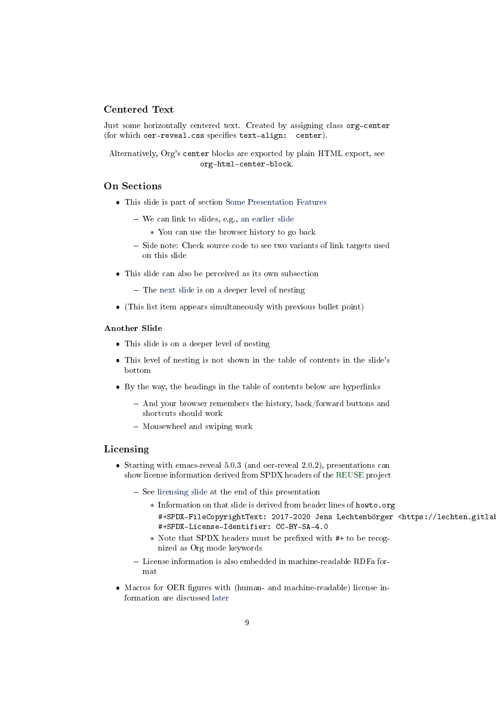### Centered Text

Just some horizontally centered text. Created by assigning class org-center (for which oer-reveal.css specifies text-align: center).

Alternatively, Org's center blocks are exported by plain HTML export, see org-html-center-block.

## On Sections

- This slide is part of section [Some Presentation Features](#page-7-0)
	- We can link to slides, e.g., [an earlier slide](#page-7-1)
		- \* You can use the browser history to go back
	- Side note: Check source code to see two variants of link targets used on this slide
- This slide can also be perceived as its own subsection
	- The [next slide](#page-8-0) is on a deeper level of nesting
- (This list item appears simultaneously with previous bullet point)

#### <span id="page-8-0"></span>Another Slide

- This slide is on a deeper level of nesting
- This level of nesting is not shown in the table of contents in the slide's bottom
- By the way, the headings in the table of contents below are hyperlinks
	- And your browser remembers the history, back/forward buttons and shortcuts should work
	- Mousewheel and swiping work

#### <span id="page-8-1"></span>Licensing

- $\bullet$  Starting with emacs-reveal 5.0.3 (and oer-reveal 2.0.2), presentations can show license information derived from SPDX headers of the [REUSE](https://reuse.software/) project
	- $-$  See [licensing slide](#page-16-0) at the end of this presentation
		- \* Information on that slide is derived from header lines of howto.org #+SPDX-FileCopyrightText: 2017-2020 Jens Lechtenbörger <https://lechten.gitlab. #+SPDX-License-Identifier: CC-BY-SA-4.0
		- \* Note that SPDX headers must be prefixed with #+ to be recognized as Org mode keywords
	- License information is also embedded in machine-readable RDFa format
- Macros for OER figures with (human- and machine-readable) license information are discussed [later](#page-10-0)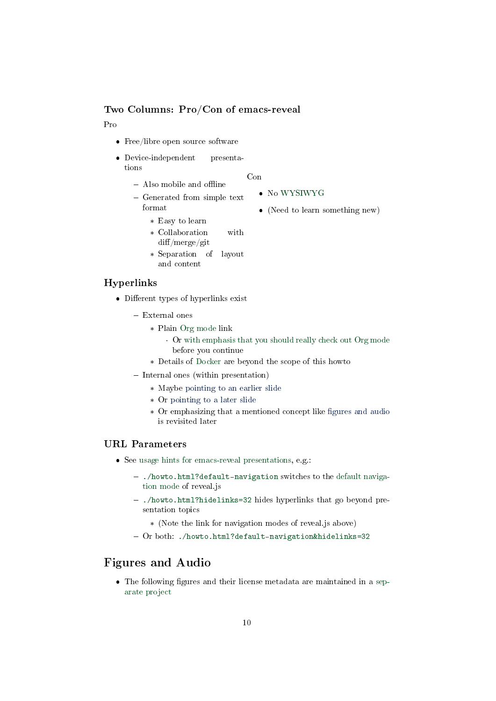## Two Columns: Pro/Con of emacs-reveal

#### Pro

- Free/libre open source software
- Device-independent presentations

#### Con

- $-$  Also mobile and offline - Generated from simple text format No [WYSIWYG](https://en.wikipedia.org/wiki/WYSIWYG) (Need to learn something new)
	-
	- \* Easy to learn
	- \* Collaboration with  $diff/merge/git$
	- \* Separation of layout and content

### Hyperlinks

- $\bullet$  Different types of hyperlinks exist
	- External ones
		- \* Plain [Org mode](https://orgmode.org/) link
			- · Or [with emphasis that you should really check out Org mode](https://orgmode.org/) before you continue
		- \* Details of [Docker](https://oer.gitlab.io/oer-courses/vm-neuland/Docker.html) are beyond the scope of this howto
	- $-$  Internal ones (within presentation)
		- \* Maybe [pointing to an earlier slide](#page-8-1)
		- \* Or [pointing to a later slide](#page-9-0)
		- \* Or emphasizing that a mentioned concept like fi[gures and audio](#page-0-0) is revisited later

### <span id="page-9-0"></span>URL Parameters

- See [usage hints for emacs-reveal presentations,](https://oer.gitlab.io/hints.html) e.g.:
	- <./howto.html?default-navigation> switches to the [default naviga](https://revealjs.com/vertical-slides/#navigation-mode)[tion mode](https://revealjs.com/vertical-slides/#navigation-mode) of reveal.js
	- <./howto.html?hidelinks=32> hides hyperlinks that go beyond presentation topics
		- \* (Note the link for navigation modes of reveal.js above)
	- Or both: <./howto.html?default-navigation&hidelinks=32>

# Figures and Audio

• The following figures and their license metadata are maintained in a [sep](https://gitlab.com/oer/figures)[arate project](https://gitlab.com/oer/figures)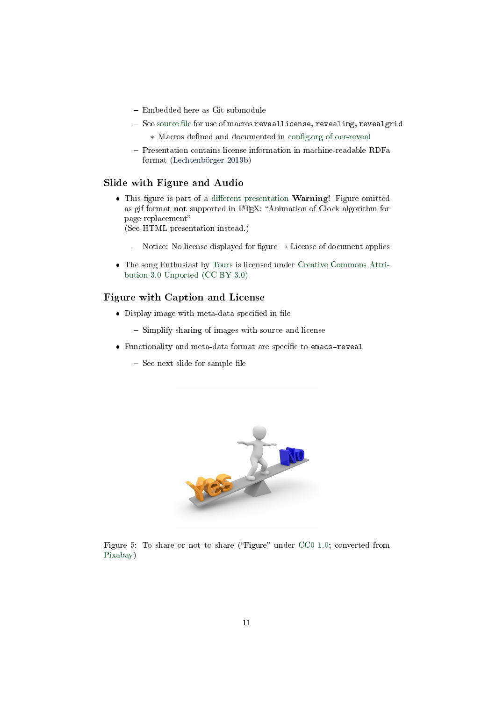- Embedded here as Git submodule
- $-$  See source file for use of macros reveallicense, revealimg, revealgrid
	- \* Macros defined and documented in config.org of oer-reveal
- Presentation contains license information in machine-readable RDFa format [\(Lechtenbörger 2019b\)](#page-15-1)

## Slide with Figure and Audio

• This figure is part of a different presentation **Warning!** Figure omitted as gif format not supported in IATEX: "Animation of Clock algorithm for page replacement

(See HTML presentation instead.)

- $-$  Notice: No license displayed for figure  $\rightarrow$  License of document applies
- The song Enthusiast by [Tours](https://freemusicarchive.org/music/Tours/) is licensed under [Creative Commons Attri](https://creativecommons.org/licenses/by/3.0/)[bution 3.0 Unported \(CC BY 3.0\)](https://creativecommons.org/licenses/by/3.0/)

## <span id="page-10-0"></span>Figure with Caption and License

- $\bullet\,$  Display image with meta-data specified in file
	- Simplify sharing of images with source and license
- Functionality and meta-data format are specific to emacs-reveal
	- $-$  See next slide for sample file



Figure 5: To share or not to share ("Figure" under [CC0 1.0;](https://creativecommons.org/publicdomain/zero/1.0/) converted from [Pixabay\)](https://pixabay.com/en/decision-question-response-1013751/)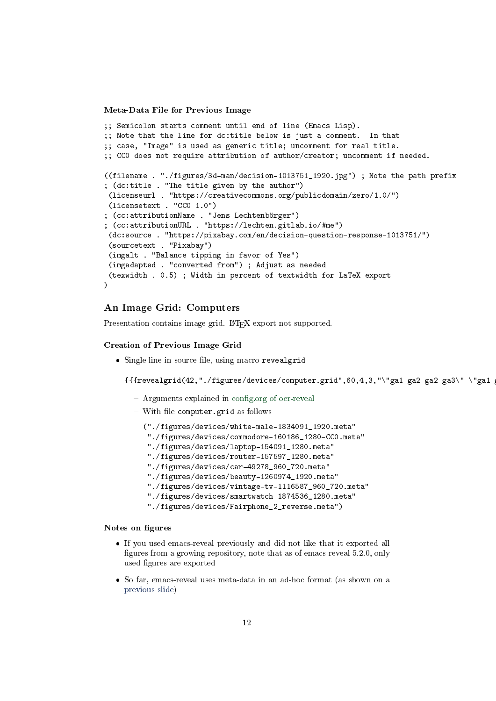<span id="page-11-0"></span>Meta-Data File for Previous Image

```
;; Semicolon starts comment until end of line (Emacs Lisp).
;; Note that the line for dc:title below is just a comment. In that
;; case, "Image" is used as generic title; uncomment for real title.
;; CC0 does not require attribution of author/creator; uncomment if needed.
((filename . "./figures/3d-man/decision-1013751_1920.jpg") ; Note the path prefix
; (dc:title . "The title given by the author")
 (licenseurl . "https://creativecommons.org/publicdomain/zero/1.0/")
 (licensetext . "CC0 1.0")
; (cc:attributionName . "Jens Lechtenbörger")
; (cc:attributionURL . "https://lechten.gitlab.io/#me")
 (dc:source . "https://pixabay.com/en/decision-question-response-1013751/")
 (sourcetext . "Pixabay")
 (imgalt . "Balance tipping in favor of Yes")
 (imgadapted . "converted from") ; Adjust as needed
 (texwidth . 0.5) ; Width in percent of textwidth for LaTeX export
)
```
## An Image Grid: Computers

Presentation contains image grid. LAT<sub>E</sub>X export not supported.

#### Creation of Previous Image Grid

• Single line in source file, using macro revealgrid

 $\{$ {revealgrid(42,"./figures/devices/computer.grid",60,4,3,"\"ga1 ga2 ga3  $\$ "\"ga1

- Arguments explained in config.org of oer-reveal
- $-$  With file computer.grid as follows

("./figures/devices/white-male-1834091\_1920.meta"

- "./figures/devices/commodore-160186\_1280-CC0.meta"
- "./figures/devices/laptop-154091\_1280.meta"
- "./figures/devices/router-157597\_1280.meta"
- "./figures/devices/car-49278\_960\_720.meta"
- "./figures/devices/beauty-1260974\_1920.meta"
- "./figures/devices/vintage-tv-1116587\_960\_720.meta"
- "./figures/devices/smartwatch-1874536\_1280.meta"
- "./figures/devices/Fairphone\_2\_reverse.meta")

#### Notes on figures

- If you used emacs-reveal previously and did not like that it exported all figures from a growing repository, note that as of emacs-reveal 5.2.0, only used figures are exported
- So far, emacs-reveal uses meta-data in an ad-hoc format (as shown on a [previous slide\)](#page-11-0)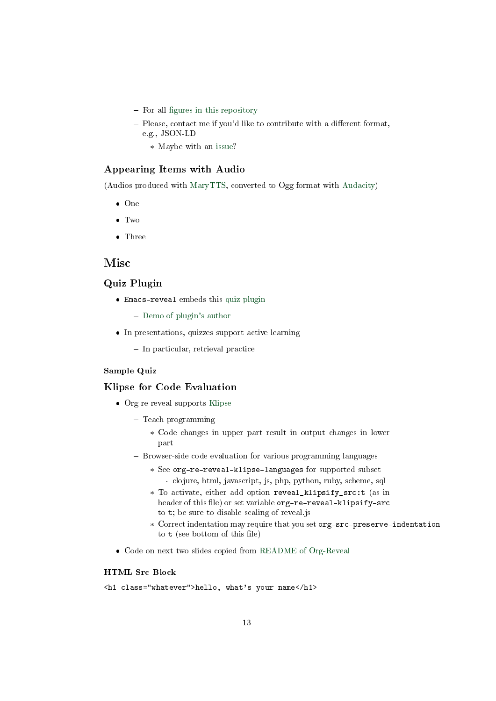- $-$  For all fi[gures in this repository](https://gitlab.com/oer/figures/)
- $-$  Please, contact me if you'd like to contribute with a different format, e.g., JSON-LD
	- \* Maybe with an [issue?](https://gitlab.com/oer/figures/-/issues)

#### Appearing Items with Audio

(Audios produced with [MaryTTS,](https://github.com/marytts/marytts) converted to Ogg format with [Audacity\)](https://www.audacityteam.org/)

- One
- Two
- Three

# **Misc**

## Quiz Plugin

Emacs-reveal embeds this [quiz plugin](https://gitlab.com/schaepermeier/reveal.js-quiz)

[Demo of plugin's author](https://schaepermeier.gitlab.io/reveal-quiz-demo/demo.html)

- In presentations, quizzes support active learning
	- In particular, retrieval practice

### Sample Quiz

#### Klipse for Code Evaluation

- Org-re-reveal supports [Klipse](https://github.com/viebel/klipse)
	- Teach programming
		- \* Code changes in upper part result in output changes in lower part
	- Browser-side code evaluation for various programming languages
		- \* See org-re-reveal-klipse-languages for supported subset
		- · clojure, html, javascript, js, php, python, ruby, scheme, sql \* To activate, either add option reveal\_klipsify\_src:t (as in
		- header of this file) or set variable org-re-reveal-klipsify-src to t; be sure to disable scaling of reveal.js
		- \* Correct indentation may require that you set org-src-preserve-indentation to  $t$  (see bottom of this file)
- Code on next two slides copied from [README of Org-Reveal](https://github.com/yjwen/org-reveal/blob/master/Readme.org)

#### HTML Src Block

```
<h1 class="whatever">hello, what's your name</h1>
```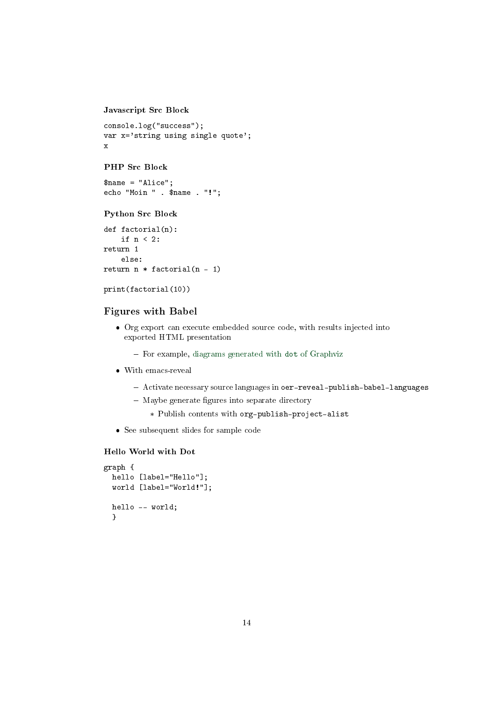```
Javascript Src Block
```

```
console.log("success");
var x='string using single quote';
x
```
#### PHP Src Block

\$name = "Alice"; echo "Moin " . \$name . "!";

### Python Src Block

```
def factorial(n):
    if n < 2:
return 1
    else:
return n * factorial(n - 1)
```
#### print(factorial(10))

## Figures with Babel

- Org export can execute embedded source code, with results injected into exported HTML presentation
	- For example, [diagrams generated with](https://orgmode.org/worg/org-contrib/babel/languages/ob-doc-dot.html) dot of Graphviz
- With emacs-reveal
	- Activate necessary source languages in oer-reveal-publish-babel-languages
	- Maybe generate figures into separate directory
		- \* Publish contents with org-publish-project-alist
- See subsequent slides for sample code

### <span id="page-13-0"></span>Hello World with Dot

```
graph {
 hello [label="Hello"];
 world [label="World!"];
 hello -- world;
  }
```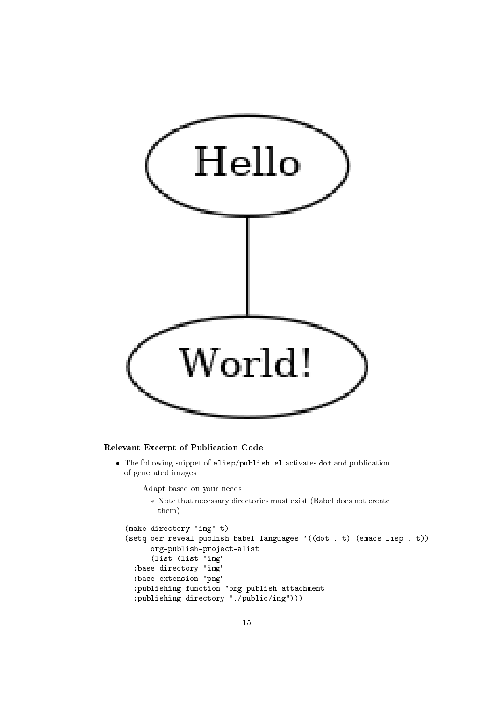

#### Relevant Excerpt of Publication Code

- The following snippet of elisp/publish.el activates dot and publication of generated images
	- Adapt based on your needs
		- \* Note that necessary directories must exist (Babel does not create them)

```
(make-directory "img" t)
(setq oer-reveal-publish-babel-languages '((dot . t) (emacs-lisp . t))
      org-publish-project-alist
      (list (list "img"
  :base-directory "img"
  :base-extension "png"
  :publishing-function 'org-publish-attachment
  :publishing-directory "./public/img")))
```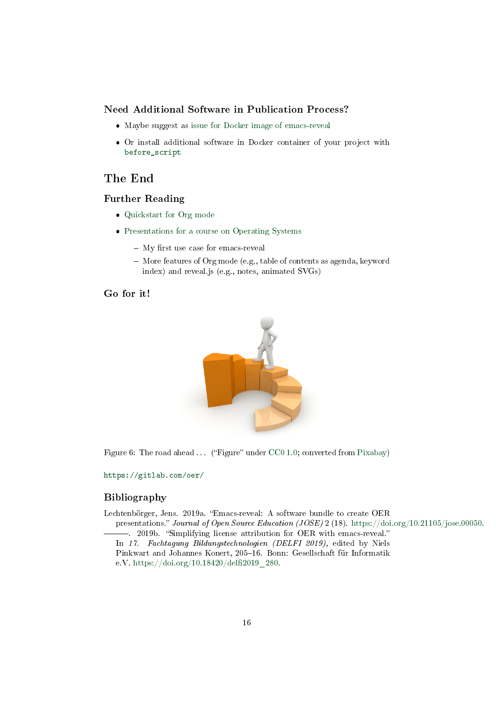#### Need Additional Software in Publication Process?

- Maybe suggest as [issue for Docker image of emacs-reveal](https://gitlab.com/oer/emacs-reveal/-/issues)
- Or install additional software in Docker container of your project with [before\\_script](https://docs.gitlab.com/ee/ci/quick_start/)

# The End

## Further Reading

- [Quickstart for Org mode](https://orgmode.org/quickstart.html)
- [Presentations for a course on Operating Systems](https://oer.gitlab.io/OS/)
	- $-$  My first use case for emacs-reveal
	- More features of Org mode (e.g., table of contents as agenda, keyword index) and reveal.js (e.g., notes, animated SVGs)

Go for it!



Figure 6: The road ahead  $\dots$  ("Figure" under [CC0 1.0;](https://creativecommons.org/publicdomain/zero/1.0/) converted from [Pixabay\)](https://pixabay.com/en/financial-equalization-help-1015282/)

<https://gitlab.com/oer/>

## Bibliography

<span id="page-15-0"></span>Lechtenbörger, Jens. 2019a. "Emacs-reveal: A software bundle to create OER

<span id="page-15-1"></span>presentations." Journal of Open Source Education (JOSE) 2 (18). [https://doi.org/10.21105/jose.00050.](https://doi.org/10.21105/jose.00050) -. 2019b. "Simplifying license attribution for OER with emacs-reveal."

In 17. Fachtagung Bildungstechnologien (DELFI 2019), edited by Niels Pinkwart and Johannes Konert, 205-16. Bonn: Gesellschaft für Informatik e.V. https://doi.org/10.18420/delfi2019\_280.